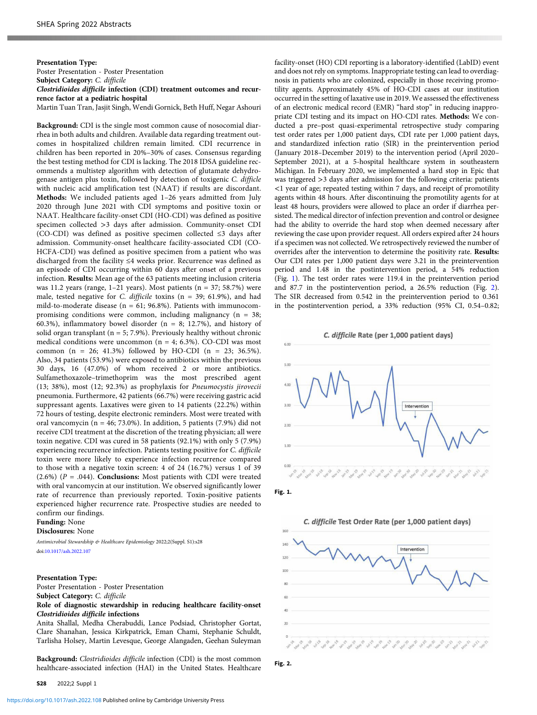Presentation Type: Poster Presentation - Poster Presentation Subject Category: C. difficile Clostridioides difficile infection (CDI) treatment outcomes and recurrence factor at a pediatric hospital Martin Tuan Tran, Jasjit Singh, Wendi Gornick, Beth Huff, Negar Ashouri

Background: CDI is the single most common cause of nosocomial diarrhea in both adults and children. Available data regarding treatment outcomes in hospitalized children remain limited. CDI recurrence in children has been reported in 20%–30% of cases. Consensus regarding the best testing method for CDI is lacking. The 2018 IDSA guideline recommends a multistep algorithm with detection of glutamate dehydrogenase antigen plus toxin, followed by detection of toxigenic C. difficle with nucleic acid amplification test (NAAT) if results are discordant. Methods: We included patients aged 1–26 years admitted from July 2020 through June 2021 with CDI symptoms and positive toxin or NAAT. Healthcare facility-onset CDI (HO-CDI) was defined as positive specimen collected >3 days after admission. Community-onset CDI (CO-CDI) was defined as positive specimen collected ≤3 days after admission. Community-onset healthcare facility-associated CDI (CO-HCFA-CDI) was defined as positive specimen from a patient who was discharged from the facility ≤4 weeks prior. Recurrence was defined as an episode of CDI occurring within 60 days after onset of a previous infection. Results: Mean age of the 63 patients meeting inclusion criteria was 11.2 years (range, 1–21 years). Most patients (n = 37; 58.7%) were male, tested negative for C. difficile toxins (n = 39; 61.9%), and had mild-to-moderate disease ( $n = 61$ ; 96.8%). Patients with immunocompromising conditions were common, including malignancy ( $n = 38$ ; 60.3%), inflammatory bowel disorder ( $n = 8$ ; 12.7%), and history of solid organ transplant ( $n = 5$ ; 7.9%). Previously healthy without chronic medical conditions were uncommon ( $n = 4$ ; 6.3%). CO-CDI was most common  $(n = 26; 41.3%)$  followed by HO-CDI  $(n = 23; 36.5%).$ Also, 34 patients (53.9%) were exposed to antibiotics within the previous 30 days, 16 (47.0%) of whom received 2 or more antibiotics. Sulfamethoxazole–trimethoprim was the most prescribed agent (13; 38%), most (12; 92.3%) as prophylaxis for Pneumocystis jirovecii pneumonia. Furthermore, 42 patients (66.7%) were receiving gastric acid suppressant agents. Laxatives were given to 14 patients (22.2%) within 72 hours of testing, despite electronic reminders. Most were treated with oral vancomycin (n =  $46$ ; 73.0%). In addition, 5 patients (7.9%) did not receive CDI treatment at the discretion of the treating physician; all were toxin negative. CDI was cured in 58 patients (92.1%) with only 5 (7.9%) experiencing recurrence infection. Patients testing positive for C. difficile toxin were more likely to experience infection recurrence compared to those with a negative toxin screen: 4 of 24 (16.7%) versus 1 of 39 (2.6%) ( $P = .044$ ). Conclusions: Most patients with CDI were treated with oral vancomycin at our institution. We observed significantly lower rate of recurrence than previously reported. Toxin-positive patients experienced higher recurrence rate. Prospective studies are needed to confirm our findings.

Funding: None

Disclosures: None

Antimicrobial Stewardship & Healthcare Epidemiology 2022;2(Suppl. S1):s28 doi[:10.1017/ash.2022.107](https://doi.org/10.1017/ash.2022.107)

## Presentation Type:

Poster Presentation - Poster Presentation Subject Category: C. difficile

Role of diagnostic stewardship in reducing healthcare facility-onset Clostridioides difficile infections

Anita Shallal, Medha Cherabuddi, Lance Podsiad, Christopher Gortat, Clare Shanahan, Jessica Kirkpatrick, Eman Chami, Stephanie Schuldt, Tarlisha Holsey, Martin Levesque, George Alangaden, Geehan Suleyman

Background: Clostridioides difficile infection (CDI) is the most common healthcare-associated infection (HAI) in the United States. Healthcare

<https://doi.org/10.1017/ash.2022.108>Published online by Cambridge University Press

facility-onset (HO) CDI reporting is a laboratory-identified (LabID) event and does not rely on symptoms. Inappropriate testing can lead to overdiagnosis in patients who are colonized, especially in those receiving promotility agents. Approximately 45% of HO-CDI cases at our institution occurred in the setting of laxative use in 2019. We assessed the effectiveness of an electronic medical record (EMR) "hard stop" in reducing inappropriate CDI testing and its impact on HO-CDI rates. Methods: We conducted a pre–post quasi-experimental retrospective study comparing test order rates per 1,000 patient days, CDI rate per 1,000 patient days, and standardized infection ratio (SIR) in the preintervention period (January 2018–December 2019) to the intervention period (April 2020– September 2021), at a 5-hospital healthcare system in southeastern Michigan. In February 2020, we implemented a hard stop in Epic that was triggered >3 days after admission for the following criteria: patients <1 year of age; repeated testing within 7 days, and receipt of promotility agents within 48 hours. After discontinuing the promotility agents for at least 48 hours, providers were allowed to place an order if diarrhea persisted. The medical director of infection prevention and control or designee had the ability to override the hard stop when deemed necessary after reviewing the case upon provider request. All orders expired after 24 hours if a specimen was not collected. We retrospectively reviewed the number of overrides after the intervention to determine the positivity rate. Results: Our CDI rates per 1,000 patient days were 3.21 in the preintervention period and 1.48 in the postintervention period, a 54% reduction (Fig. 1). The test order rates were 119.4 in the preintervention period and 87.7 in the postintervention period, a 26.5% reduction (Fig. 2). The SIR decreased from 0.542 in the preintervention period to 0.361 in the postintervention period, a 33% reduction (95% CI, 0.54–0.82;







6.00